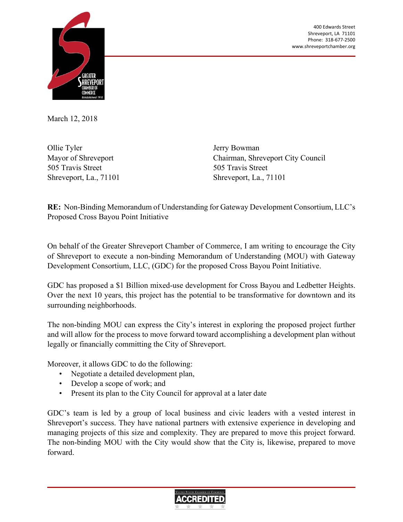400 Edwards Street Shreveport, LA 71101 Phone: 318‐677‐2500 www.shreveportchamber.org



March 12, 2018

Ollie Tyler Mayor of Shreveport 505 Travis Street Shreveport, La., 71101 Jerry Bowman Chairman, Shreveport City Council 505 Travis Street Shreveport, La., 71101

**RE:** Non-Binding Memorandum of Understanding for Gateway Development Consortium, LLC's Proposed Cross Bayou Point Initiative

On behalf of the Greater Shreveport Chamber of Commerce, I am writing to encourage the City of Shreveport to execute a non-binding Memorandum of Understanding (MOU) with Gateway Development Consortium, LLC, (GDC) for the proposed Cross Bayou Point Initiative.

GDC has proposed a \$1 Billion mixed-use development for Cross Bayou and Ledbetter Heights. Over the next 10 years, this project has the potential to be transformative for downtown and its surrounding neighborhoods.

The non-binding MOU can express the City's interest in exploring the proposed project further and will allow for the process to move forward toward accomplishing a development plan without legally or financially committing the City of Shreveport.

Moreover, it allows GDC to do the following:

- Negotiate a detailed development plan,
- Develop a scope of work; and
- Present its plan to the City Council for approval at a later date

GDC's team is led by a group of local business and civic leaders with a vested interest in Shreveport's success. They have national partners with extensive experience in developing and managing projects of this size and complexity. They are prepared to move this project forward. The non-binding MOU with the City would show that the City is, likewise, prepared to move forward.